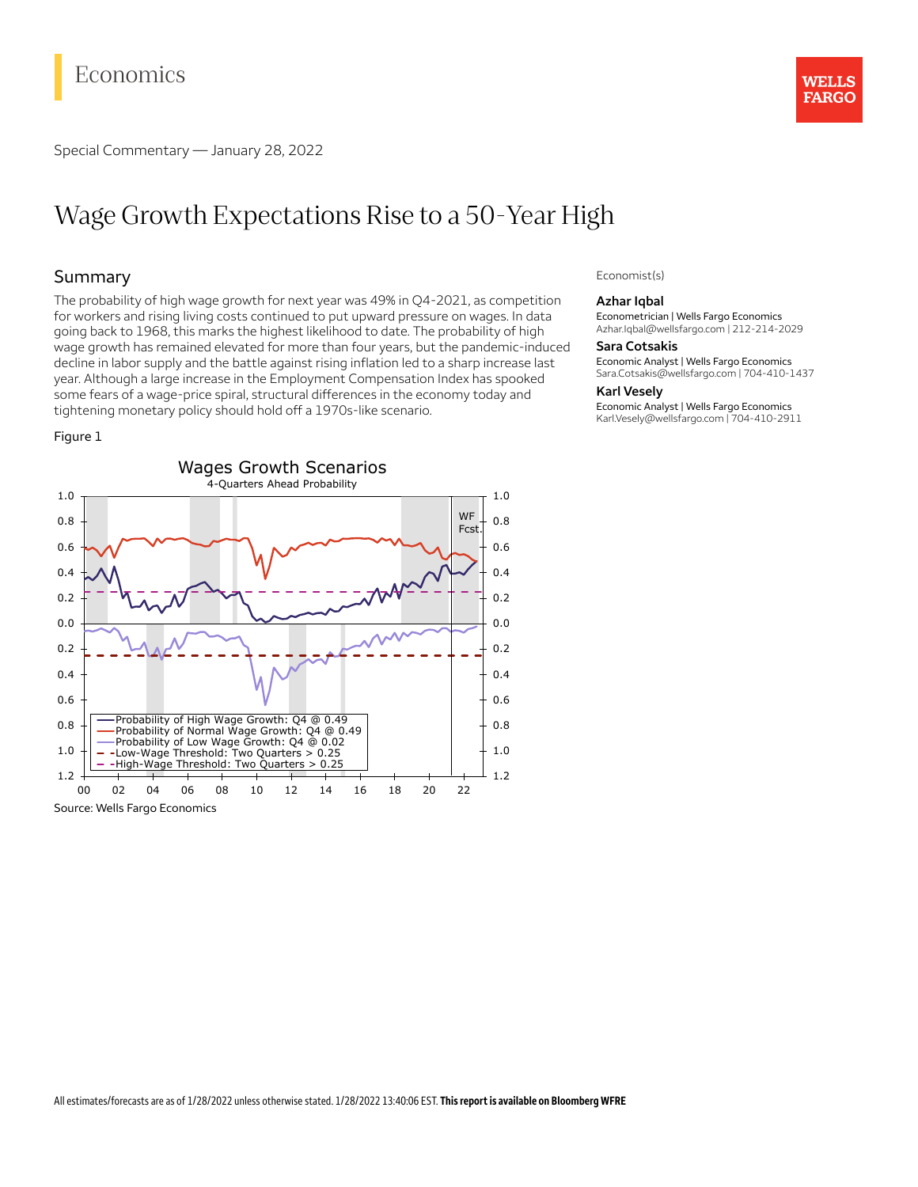# Economics

Special Commentary — January 28, 2022

## **WELLS FARGO**

# Wage Growth Expectations Rise to a 50-Year High

## Summary

The probability of high wage growth for next year was 49% in Q4-2021, as competition for workers and rising living costs continued to put upward pressure on wages. In data going back to 1968, this marks the highest likelihood to date. The probability of high wage growth has remained elevated for more than four years, but the pandemic-induced decline in labor supply and the battle against rising inflation led to a sharp increase last year. Although a large increase in the Employment Compensation Index has spooked some fears of a wage-price spiral, structural differences in the economy today and tightening monetary policy should hold off a 1970s-like scenario.

#### Figure 1



Source: Wells Fargo Economics

#### Economist(s)

#### **Azhar Iqbal**

Econometrician | Wells Fargo Economics Azhar.Iqbal@wellsfargo.com | 212-214-2029

#### **Sara Cotsakis**

Economic Analyst | Wells Fargo Economics Sara.Cotsakis@wellsfargo.com | 704-410-1437

#### **Karl Vesely**

Economic Analyst | Wells Fargo Economics Karl.Vesely@wellsfargo.com | 704-410-2911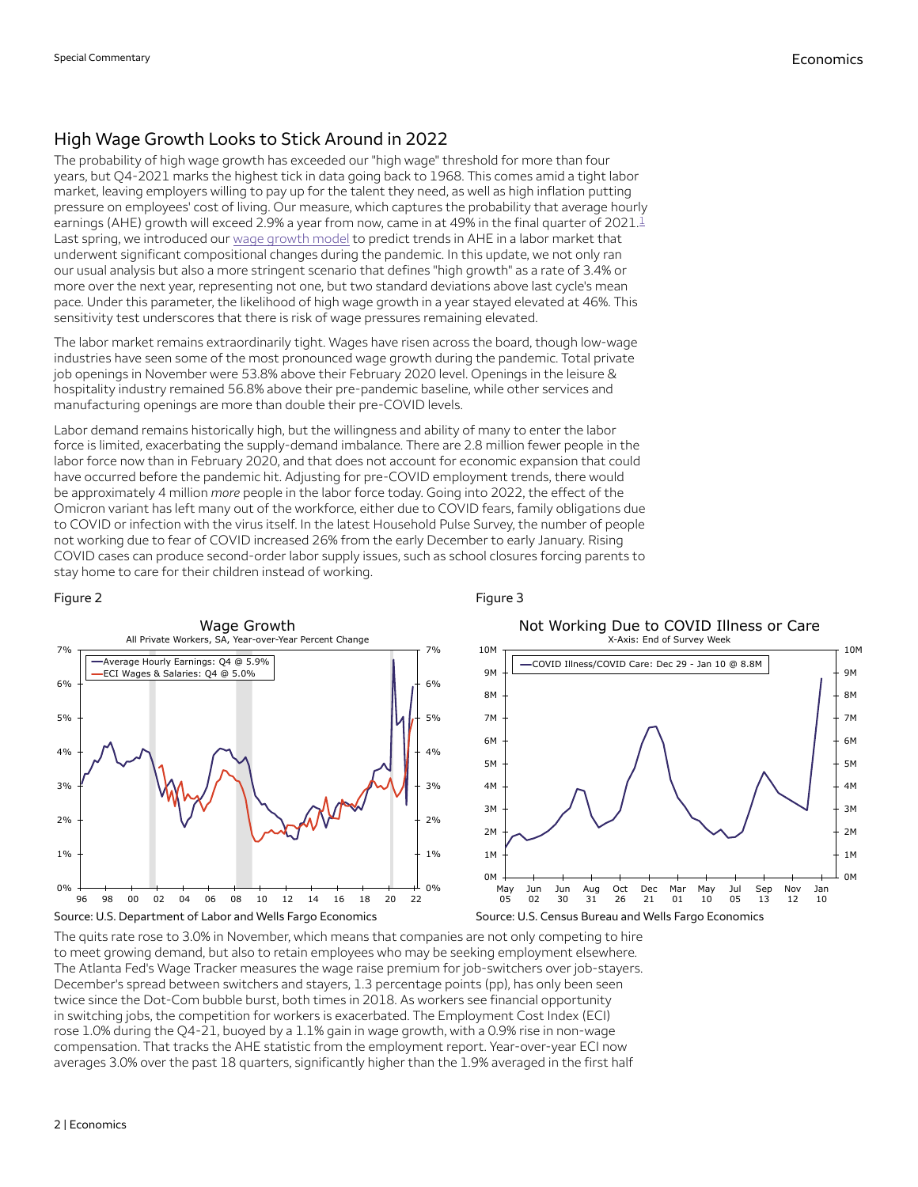## High Wage Growth Looks to Stick Around in 2022

<span id="page-1-0"></span>The probability of high wage growth has exceeded our "high wage" threshold for more than four years, but Q4-2021 marks the highest tick in data going back to 1968. This comes amid a tight labor market, leaving employers willing to pay up for the talent they need, as well as high inflation putting pressure on employees' cost of living. Our measure, which captures the probability that average hourly earnings (AHE) growth will exceed 2.9% a year from now, came in at 49% in the final quarter of 202[1](#page-3-0). $\overset{1}{\ll}$ Last spring, we introduced our wage [growth](https://wellsfargo.bluematrix.com/links2/html/b135f1e1-c513-4875-8f20-b1100f7546e3) model to predict trends in AHE in a labor market that underwent significant compositional changes during the pandemic. In this update, we not only ran our usual analysis but also a more stringent scenario that defines "high growth" as a rate of 3.4% or more over the next year, representing not one, but two standard deviations above last cycle's mean pace. Under this parameter, the likelihood of high wage growth in a year stayed elevated at 46%. This sensitivity test underscores that there is risk of wage pressures remaining elevated.

The labor market remains extraordinarily tight. Wages have risen across the board, though low-wage industries have seen some of the most pronounced wage growth during the pandemic. Total private job openings in November were 53.8% above their February 2020 level. Openings in the leisure & hospitality industry remained 56.8% above their pre-pandemic baseline, while other services and manufacturing openings are more than double their pre-COVID levels.

Labor demand remains historically high, but the willingness and ability of many to enter the labor force is limited, exacerbating the supply-demand imbalance. There are 2.8 million fewer people in the labor force now than in February 2020, and that does not account for economic expansion that could have occurred before the pandemic hit. Adjusting for pre-COVID employment trends, there would be approximately 4 million *more* people in the labor force today. Going into 2022, the effect of the Omicron variant has left many out of the workforce, either due to COVID fears, family obligations due to COVID or infection with the virus itself. In the latest Household Pulse Survey, the number of people not working due to fear of COVID increased 26% from the early December to early January. Rising COVID cases can produce second-order labor supply issues, such as school closures forcing parents to stay home to care for their children instead of working.



Figure 3

The quits rate rose to 3.0% in November, which means that companies are not only competing to hire to meet growing demand, but also to retain employees who may be seeking employment elsewhere. The Atlanta Fed's Wage Tracker measures the wage raise premium for job-switchers over job-stayers. December's spread between switchers and stayers, 1.3 percentage points (pp), has only been seen twice since the Dot-Com bubble burst, both times in 2018. As workers see financial opportunity in switching jobs, the competition for workers is exacerbated. The Employment Cost Index (ECI) rose 1.0% during the Q4-21, buoyed by a 1.1% gain in wage growth, with a 0.9% rise in non-wage compensation. That tracks the AHE statistic from the employment report. Year-over-year ECI now averages 3.0% over the past 18 quarters, significantly higher than the 1.9% averaged in the first half

#### Figure 2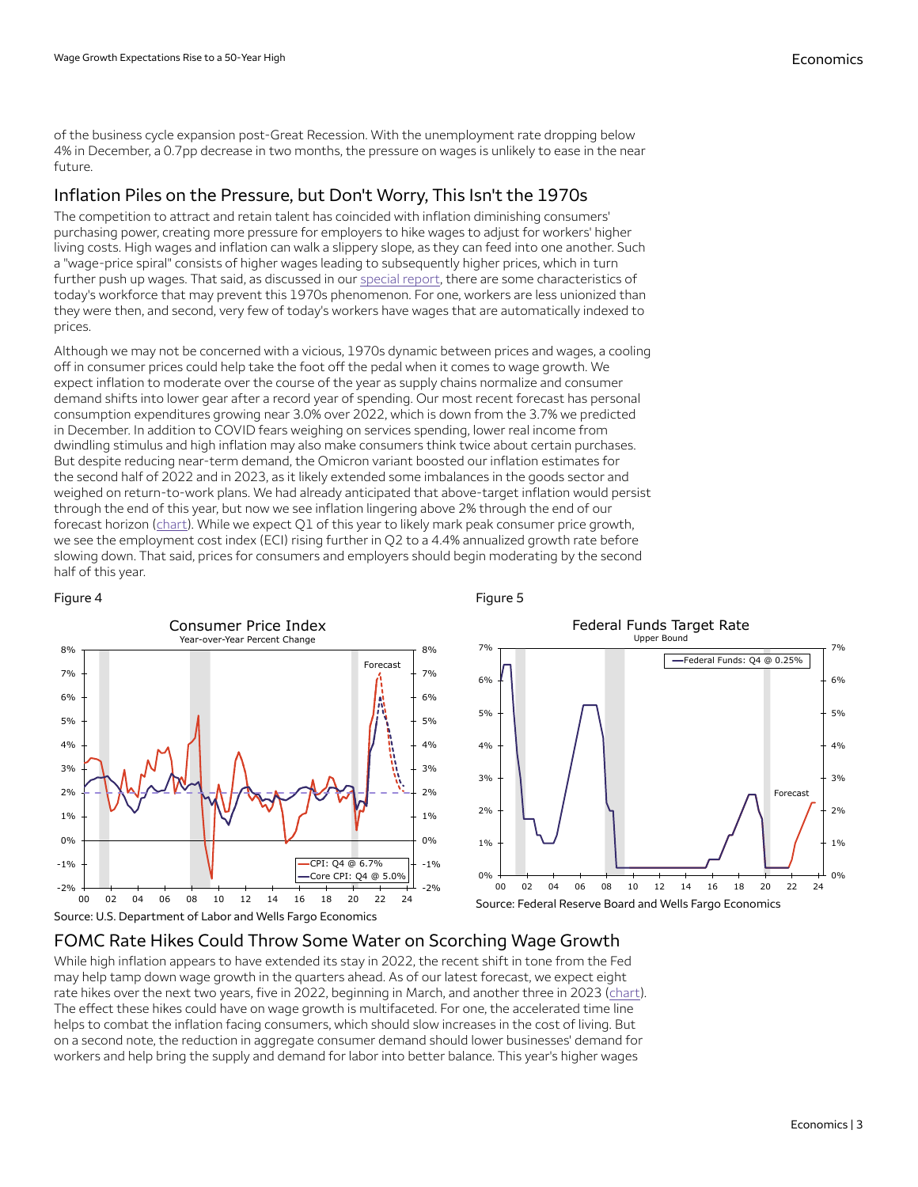of the business cycle expansion post-Great Recession. With the unemployment rate dropping below 4% in December, a 0.7pp decrease in two months, the pressure on wages is unlikely to ease in the near future.

## Inflation Piles on the Pressure, but Don't Worry, This Isn't the 1970s

The competition to attract and retain talent has coincided with inflation diminishing consumers' purchasing power, creating more pressure for employers to hike wages to adjust for workers' higher living costs. High wages and inflation can walk a slippery slope, as they can feed into one another. Such a "wage-price spiral" consists of higher wages leading to subsequently higher prices, which in turn further push up wages. That said, as discussed in our [special](https://wellsfargo.bluematrix.com/links2/link/html/e3feefc3-41d4-46cf-a806-e5efddb1679b/7fa25d77-d6b9-464e-9991-05a74d69f417) report, there are some characteristics of today's workforce that may prevent this 1970s phenomenon. For one, workers are less unionized than they were then, and second, very few of today's workers have wages that are automatically indexed to prices.

Although we may not be concerned with a vicious, 1970s dynamic between prices and wages, a cooling off in consumer prices could help take the foot off the pedal when it comes to wage growth. We expect inflation to moderate over the course of the year as supply chains normalize and consumer demand shifts into lower gear after a record year of spending. Our most recent forecast has personal consumption expenditures growing near 3.0% over 2022, which is down from the 3.7% we predicted in December. In addition to COVID fears weighing on services spending, lower real income from dwindling stimulus and high inflation may also make consumers think twice about certain purchases. But despite reducing near-term demand, the Omicron variant boosted our inflation estimates for the second half of 2022 and in 2023, as it likely extended some imbalances in the goods sector and weighed on return-to-work plans. We had already anticipated that above-target inflation would persist through the end of this year, but now we see inflation lingering above 2% through the end of our forecast horizon ( $chart$ ). While we expect  $Q1$  of this year to likely mark peak consumer price growth,</u> we see the employment cost index (ECI) rising further in Q2 to a 4.4% annualized growth rate before slowing down. That said, prices for consumers and employers should begin moderating by the second half of this year.

<span id="page-2-0"></span>

<span id="page-2-1"></span>Figure 5



## FOMC Rate Hikes Could Throw Some Water on Scorching Wage Growth

While high inflation appears to have extended its stay in 2022, the recent shift in tone from the Fed may help tamp down wage growth in the quarters ahead. As of our latest forecast, we expect eight rate hikes over the next two years, five in 2022, beginning in March, and another three in 2023 ([chart](#page-2-1)). The effect these hikes could have on wage growth is multifaceted. For one, the accelerated time line helps to combat the inflation facing consumers, which should slow increases in the cost of living. But on a second note, the reduction in aggregate consumer demand should lower businesses' demand for workers and help bring the supply and demand for labor into better balance. This year's higher wages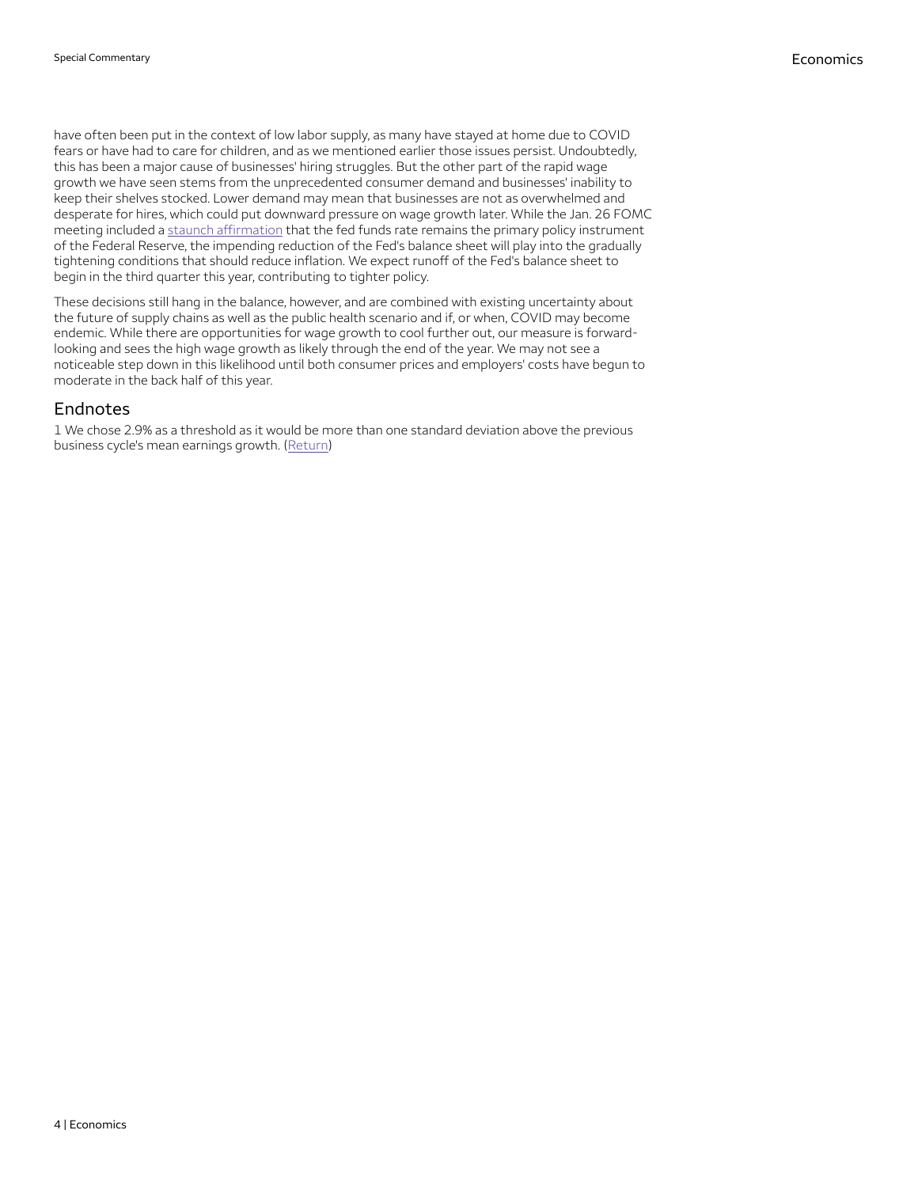have often been put in the context of low labor supply, as many have stayed at home due to COVID fears or have had to care for children, and as we mentioned earlier those issues persist. Undoubtedly, this has been a major cause of businesses' hiring struggles. But the other part of the rapid wage growth we have seen stems from the unprecedented consumer demand and businesses' inability to keep their shelves stocked. Lower demand may mean that businesses are not as overwhelmed and desperate for hires, which could put downward pressure on wage growth later. While the Jan. 26 FOMC meeting included a staunch affirmation that the fed funds rate remains the primary policy instrument of the Federal Reserve, the impending reduction of the Fed's balance sheet will play into the gradually tightening conditions that should reduce inflation. We expect runoff of the Fed's balance sheet to begin in the third quarter this year, contributing to tighter policy.

These decisions still hang in the balance, however, and are combined with existing uncertainty about the future of supply chains as well as the public health scenario and if, or when, COVID may become endemic. While there are opportunities for wage growth to cool further out, our measure is forwardlooking and sees the high wage growth as likely through the end of the year. We may not see a noticeable step down in this likelihood until both consumer prices and employers' costs have begun to moderate in the back half of this year.

### **Endnotes**

<span id="page-3-0"></span>1 We chose 2.9% as a threshold as it would be more than one standard deviation above the previous business cycle's mean earnings growth. [\(Return\)](#page-1-0)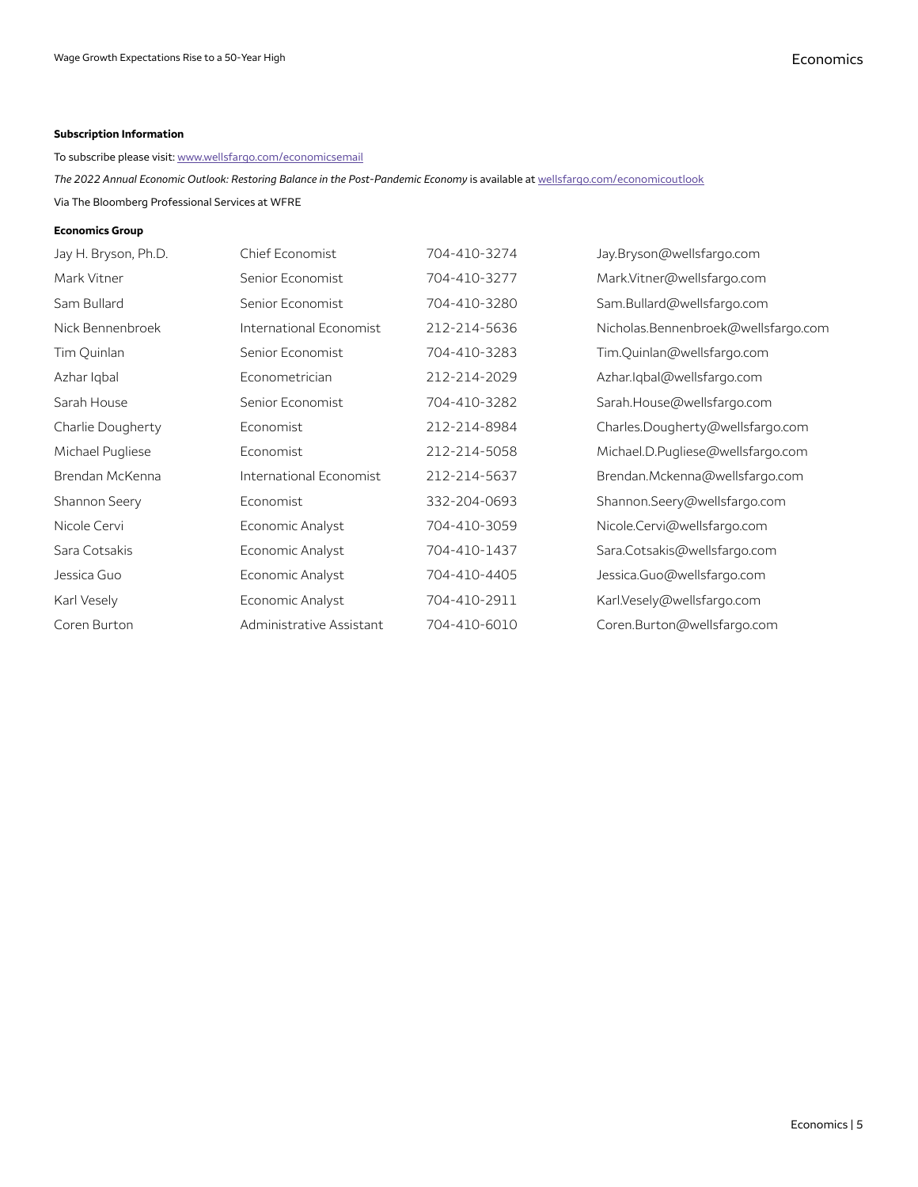#### **Subscription Information**

#### To subscribe please visit: [www.wellsfargo.com/economicsemail](http://www.wellsfargo.com/economicsemail)

*The 2022 Annual Economic Outlook: Restoring Balance in the Post-Pandemic Economy* is available at [wellsfargo.com/economicoutlook](http://wellsfargo.com/economicoutlook)

Via The Bloomberg Professional Services at WFRE

#### **Economics Group**

| Jay H. Bryson, Ph.D. | Chief Economist          | 704-410-3274 | Jay.Bryson@wellsfargo.com           |
|----------------------|--------------------------|--------------|-------------------------------------|
| Mark Vitner          | Senior Economist         | 704-410-3277 | Mark.Vitner@wellsfargo.com          |
| Sam Bullard          | Senior Economist         | 704-410-3280 | Sam.Bullard@wellsfargo.com          |
| Nick Bennenbroek     | International Economist  | 212-214-5636 | Nicholas.Bennenbroek@wellsfargo.com |
| Tim Quinlan          | Senior Economist         | 704-410-3283 | Tim.Quinlan@wellsfargo.com          |
| Azhar Igbal          | Econometrician           | 212-214-2029 | Azhar.Iqbal@wellsfargo.com          |
| Sarah House          | Senior Economist         | 704-410-3282 | Sarah.House@wellsfargo.com          |
| Charlie Dougherty    | Economist                | 212-214-8984 | Charles.Dougherty@wellsfargo.com    |
| Michael Pugliese     | Economist                | 212-214-5058 | Michael.D.Pugliese@wellsfargo.com   |
| Brendan McKenna      | International Economist  | 212-214-5637 | Brendan.Mckenna@wellsfargo.com      |
| Shannon Seery        | Economist                | 332-204-0693 | Shannon.Seery@wellsfargo.com        |
| Nicole Cervi         | Economic Analyst         | 704-410-3059 | Nicole.Cervi@wellsfargo.com         |
| Sara Cotsakis        | Economic Analyst         | 704-410-1437 | Sara.Cotsakis@wellsfargo.com        |
| Jessica Guo          | Economic Analyst         | 704-410-4405 | Jessica.Guo@wellsfargo.com          |
| Karl Vesely          | Economic Analyst         | 704-410-2911 | Karl.Vesely@wellsfargo.com          |
| Coren Burton         | Administrative Assistant | 704-410-6010 | Coren.Burton@wellsfargo.com         |